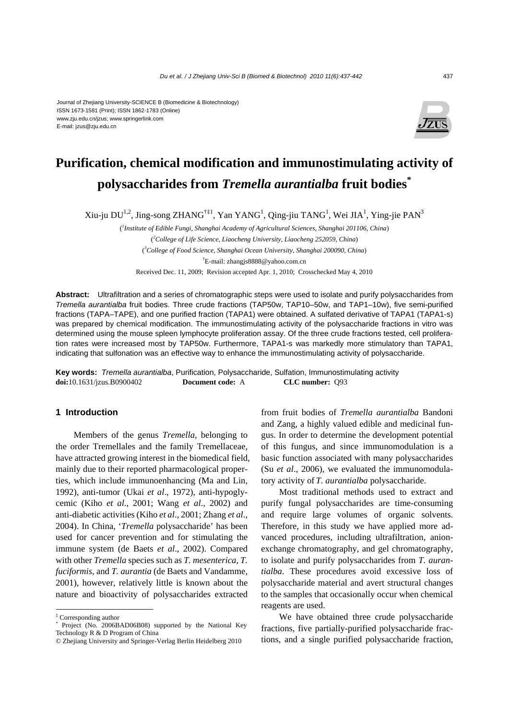#### Journal of Zhejiang University-SCIENCE B (Biomedicine & Biotechnology) ISSN 1673-1581 (Print); ISSN 1862-1783 (Online) www.zju.edu.cn/jzus; www.springerlink.com E-mail: jzus@zju.edu.cn



# **Purification, chemical modification and immunostimulating activity of polysaccharides from** *Tremella aurantialba* **fruit bodies\***

Xiu-ju DU<sup>1,2</sup>, Jing-song ZHANG<sup>†‡1</sup>, Yan YANG<sup>1</sup>, Qing-jiu TANG<sup>1</sup>, Wei JIA<sup>1</sup>, Ying-jie PAN<sup>3</sup>

( *1 Institute of Edible Fungi, Shanghai Academy of Agricultural Sciences, Shanghai 201106, China*) ( *2 College of Life Science, Liaocheng University, Liaocheng 252059, China*) ( *3 College of Food Science, Shanghai Ocean University, Shanghai 200090, China*) † E-mail: zhangjs8888@yahoo.com.cn

Received Dec. 11, 2009; Revision accepted Apr. 1, 2010; Crosschecked May 4, 2010

**Abstract:** Ultrafiltration and a series of chromatographic steps were used to isolate and purify polysaccharides from *Tremella aurantialba* fruit bodies. Three crude fractions (TAP50w, TAP10–50w, and TAP1–10w), five semi-purified fractions (TAPA–TAPE), and one purified fraction (TAPA1) were obtained. A sulfated derivative of TAPA1 (TAPA1-s) was prepared by chemical modification. The immunostimulating activity of the polysaccharide fractions in vitro was determined using the mouse spleen lymphocyte proliferation assay. Of the three crude fractions tested, cell proliferation rates were increased most by TAP50w. Furthermore, TAPA1-s was markedly more stimulatory than TAPA1, indicating that sulfonation was an effective way to enhance the immunostimulating activity of polysaccharide.

**Key words:** *Tremella aurantialba*, Purification, Polysaccharide, Sulfation, Immunostimulating activity **doi:**10.1631/jzus.B0900402 **Document code:** A **CLC number:** Q93

# **1 Introduction**

Members of the genus *Tremella*, belonging to the order Tremellales and the family Tremellaceae, have attracted growing interest in the biomedical field, mainly due to their reported pharmacological properties, which include immunoenhancing (Ma and Lin, 1992), anti-tumor (Ukai *et al*., 1972), anti-hypoglycemic (Kiho *et al*., 2001; Wang *et al*., 2002) and anti-diabetic activities (Kiho *et al*., 2001; Zhang *et al*., 2004). In China, '*Tremella* polysaccharide' has been used for cancer prevention and for stimulating the immune system (de Baets *et al*., 2002). Compared with other *Tremella* species such as *T. mesenterica*, *T. fuciformis*, and *T. aurantia* (de Baets and Vandamme, 2001), however, relatively little is known about the nature and bioactivity of polysaccharides extracted

from fruit bodies of *Tremella aurantialba* Bandoni and Zang, a highly valued edible and medicinal fungus. In order to determine the development potential of this fungus, and since immunomodulation is a basic function associated with many polysaccharides (Su *et al*., 2006), we evaluated the immunomodulatory activity of *T. aurantialba* polysaccharide.

Most traditional methods used to extract and purify fungal polysaccharides are time-consuming and require large volumes of organic solvents. Therefore, in this study we have applied more advanced procedures, including ultrafiltration, anionexchange chromatography, and gel chromatography, to isolate and purify polysaccharides from *T. aurantialba*. These procedures avoid excessive loss of polysaccharide material and avert structural changes to the samples that occasionally occur when chemical reagents are used.

We have obtained three crude polysaccharide fractions, five partially-purified polysaccharide fractions, and a single purified polysaccharide fraction,

<sup>‡</sup> Corresponding author

<sup>\*</sup> Project (No. 2006BAD06B08) supported by the National Key Technology R & D Program of China

<sup>©</sup> Zhejiang University and Springer-Verlag Berlin Heidelberg 2010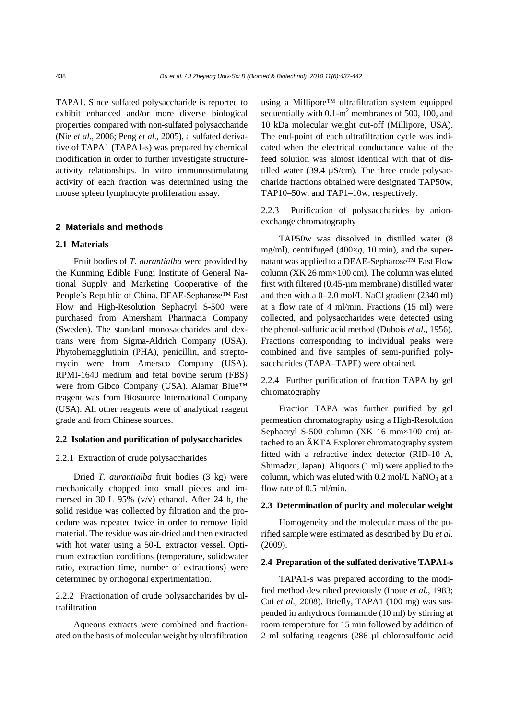TAPA1. Since sulfated polysaccharide is reported to exhibit enhanced and/or more diverse biological properties compared with non-sulfated polysaccharide (Nie *et al*., 2006; Peng *et al*., 2005), a sulfated derivative of TAPA1 (TAPA1-s) was prepared by chemical modification in order to further investigate structureactivity relationships. In vitro immunostimulating activity of each fraction was determined using the mouse spleen lymphocyte proliferation assay.

### **2 Materials and methods**

#### **2.1 Materials**

Fruit bodies of *T. aurantialba* were provided by the Kunming Edible Fungi Institute of General National Supply and Marketing Cooperative of the People's Republic of China. DEAE-Sepharose™ Fast Flow and High-Resolution Sephacryl S-500 were purchased from Amersham Pharmacia Company (Sweden). The standard monosaccharides and dextrans were from Sigma-Aldrich Company (USA). Phytohemagglutinin (PHA), penicillin, and streptomycin were from Amersco Company (USA). RPMI-1640 medium and fetal bovine serum (FBS) were from Gibco Company (USA). Alamar Blue™ reagent was from Biosource International Company (USA). All other reagents were of analytical reagent grade and from Chinese sources.

## **2.2 Isolation and purification of polysaccharides**

#### 2.2.1 Extraction of crude polysaccharides

Dried *T. aurantialba* fruit bodies (3 kg) were mechanically chopped into small pieces and immersed in 30 L 95% (v/v) ethanol. After 24 h, the solid residue was collected by filtration and the procedure was repeated twice in order to remove lipid material. The residue was air-dried and then extracted with hot water using a 50-L extractor vessel. Optimum extraction conditions (temperature, solid:water ratio, extraction time, number of extractions) were determined by orthogonal experimentation.

# 2.2.2 Fractionation of crude polysaccharides by ultrafiltration

Aqueous extracts were combined and fractionated on the basis of molecular weight by ultrafiltration using a Millipore™ ultrafiltration system equipped sequentially with  $0.1 \text{ m}^2$  membranes of 500, 100, and 10 kDa molecular weight cut-off (Millipore, USA). The end-point of each ultrafiltration cycle was indicated when the electrical conductance value of the feed solution was almost identical with that of distilled water (39.4  $\mu$ S/cm). The three crude polysaccharide fractions obtained were designated TAP50w, TAP10–50w, and TAP1–10w, respectively.

2.2.3 Purification of polysaccharides by anionexchange chromatography

TAP50w was dissolved in distilled water (8 mg/ml), centrifuged (400×*g*, 10 min), and the supernatant was applied to a DEAE-Sepharose™ Fast Flow column (XK 26 mm×100 cm). The column was eluted first with filtered (0.45-µm membrane) distilled water and then with a 0–2.0 mol/L NaCl gradient (2340 ml) at a flow rate of 4 ml/min. Fractions (15 ml) were collected, and polysaccharides were detected using the phenol-sulfuric acid method (Dubois *et al*., 1956). Fractions corresponding to individual peaks were combined and five samples of semi-purified polysaccharides (TAPA–TAPE) were obtained.

2.2.4 Further purification of fraction TAPA by gel chromatography

Fraction TAPA was further purified by gel permeation chromatography using a High-Resolution Sephacryl S-500 column (XK 16 mm×100 cm) attached to an ÄKTA Explorer chromatography system fitted with a refractive index detector (RID-10 A, Shimadzu, Japan). Aliquots (1 ml) were applied to the column, which was eluted with  $0.2$  mol/L NaNO<sub>3</sub> at a flow rate of 0.5 ml/min.

#### **2.3 Determination of purity and molecular weight**

Homogeneity and the molecular mass of the purified sample were estimated as described by Du *et al.* (2009).

# **2.4 Preparation of the sulfated derivative TAPA1-s**

TAPA1-s was prepared according to the modified method described previously (Inoue *et al*., 1983; Cui *et al*., 2008). Briefly, TAPA1 (100 mg) was suspended in anhydrous formamide (10 ml) by stirring at room temperature for 15 min followed by addition of 2 ml sulfating reagents (286 µl chlorosulfonic acid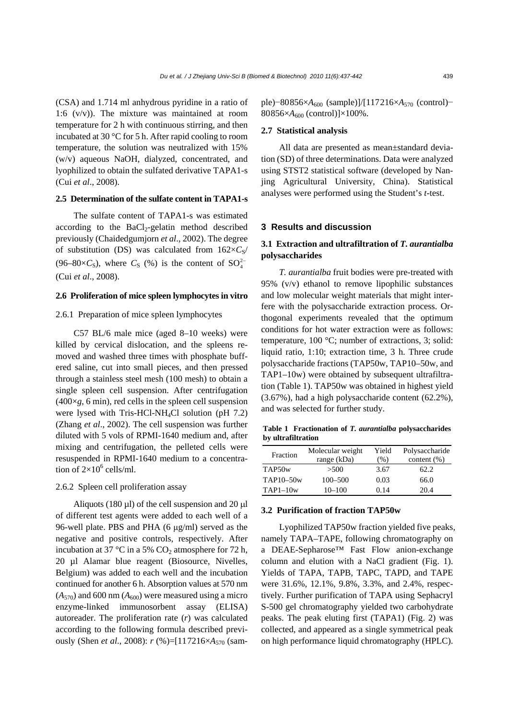(CSA) and 1.714 ml anhydrous pyridine in a ratio of 1:6 (v/v)). The mixture was maintained at room temperature for 2 h with continuous stirring, and then incubated at 30 °C for 5 h. After rapid cooling to room temperature, the solution was neutralized with 15% (w/v) aqueous NaOH, dialyzed, concentrated, and lyophilized to obtain the sulfated derivative TAPA1-s (Cui *et al*., 2008).

#### **2.5 Determination of the sulfate content in TAPA1-s**

The sulfate content of TAPA1-s was estimated according to the  $BaCl<sub>2</sub>-gelatin$  method described previously (Chaidedgumjorn *et al*., 2002). The degree of substitution (DS) was calculated from  $162\times C_s$ / (96–80× $C_s$ ), where  $C_s$  (%) is the content of  $SO_4^{2-}$ (Cui *et al*., 2008).

# **2.6 Proliferation of mice spleen lymphocytes in vitro**

# 2.6.1 Preparation of mice spleen lymphocytes

C57 BL/6 male mice (aged 8–10 weeks) were killed by cervical dislocation, and the spleens removed and washed three times with phosphate buffered saline, cut into small pieces, and then pressed through a stainless steel mesh (100 mesh) to obtain a single spleen cell suspension. After centrifugation  $(400\times g, 6 \text{ min})$ , red cells in the spleen cell suspension were lysed with Tris-HCl-NH4Cl solution (pH 7.2) (Zhang *et al*., 2002). The cell suspension was further diluted with 5 vols of RPMI-1640 medium and, after mixing and centrifugation, the pelleted cells were resuspended in RPMI-1640 medium to a concentration of  $2\times10^6$  cells/ml.

#### 2.6.2 Spleen cell proliferation assay

Aliquots (180  $\mu$ l) of the cell suspension and 20  $\mu$ l of different test agents were added to each well of a 96-well plate. PBS and PHA (6 μg/ml) served as the negative and positive controls, respectively. After incubation at 37 °C in a 5%  $CO<sub>2</sub>$  atmosphere for 72 h, 20 µl Alamar blue reagent (Biosource, Nivelles, Belgium) was added to each well and the incubation continued for another 6 h. Absorption values at 570 nm  $(A_{570})$  and 600 nm  $(A_{600})$  were measured using a micro enzyme-linked immunosorbent assay (ELISA) autoreader. The proliferation rate (*r*) was calculated according to the following formula described previously (Shen *et al*., 2008): *r* (%)=[117216×*A*570 (sample)−80856×*A*<sub>600</sub> (sample)]/[117216×*A*<sub>570</sub> (control)−  $80856\times A_{600}$  (control)] $\times 100\%$ .

#### **2.7 Statistical analysis**

All data are presented as mean±standard deviation (SD) of three determinations. Data were analyzed using STST2 statistical software (developed by Nanjing Agricultural University, China). Statistical analyses were performed using the Student's *t*-test.

#### **3 Results and discussion**

# **3.1 Extraction and ultrafiltration of** *T. aurantialba* **polysaccharides**

*T. aurantialba* fruit bodies were pre-treated with 95% (v/v) ethanol to remove lipophilic substances and low molecular weight materials that might interfere with the polysaccharide extraction process. Orthogonal experiments revealed that the optimum conditions for hot water extraction were as follows: temperature, 100 °C; number of extractions, 3; solid: liquid ratio, 1:10; extraction time, 3 h. Three crude polysaccharide fractions (TAP50w, TAP10–50w, and TAP1–10w) were obtained by subsequent ultrafiltration (Table 1). TAP50w was obtained in highest yield (3.67%), had a high polysaccharide content (62.2%), and was selected for further study.

**Table 1 Fractionation of** *T. aurantialba* **polysaccharides by ultrafiltration**

| Fraction   | Molecular weight<br>range (kDa) | Yield<br>(% ) | Polysaccharide<br>content $(\%)$ |
|------------|---------------------------------|---------------|----------------------------------|
| TAP50w     | >500                            | 3.67          | 62.2                             |
| TAP10-50w  | $100 - 500$                     | 0.03          | 66.0                             |
| $TAP1-10w$ | $10 - 100$                      | 0.14          | 20.4                             |

# **3.2 Purification of fraction TAP50w**

Lyophilized TAP50w fraction yielded five peaks, namely TAPA–TAPE, following chromatography on a DEAE-Sepharose™ Fast Flow anion-exchange column and elution with a NaCl gradient (Fig. 1). Yields of TAPA, TAPB, TAPC, TAPD, and TAPE were 31.6%, 12.1%, 9.8%, 3.3%, and 2.4%, respectively. Further purification of TAPA using Sephacryl S-500 gel chromatography yielded two carbohydrate peaks. The peak eluting first (TAPA1) (Fig. 2) was collected, and appeared as a single symmetrical peak on high performance liquid chromatography (HPLC).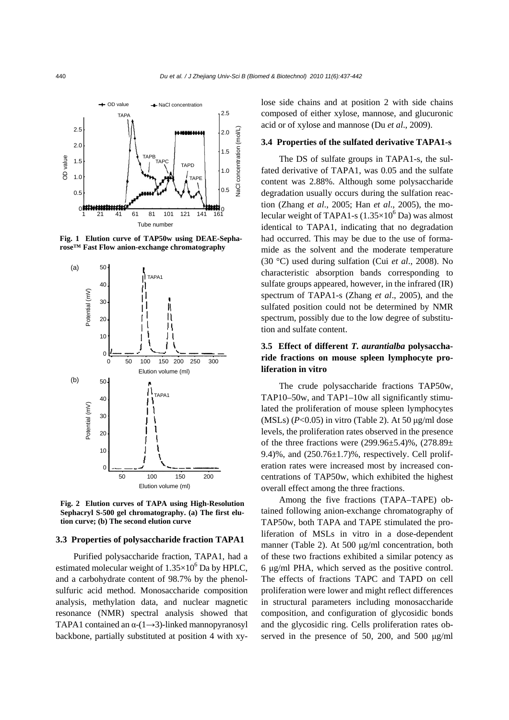

**Fig. 1 Elution curve of TAP50w using DEAE-Sepharose™ Fast Flow anion-exchange chromatography** 



**Fig. 2 Elution curves of TAPA using High-Resolution Sephacryl S-500 gel chromatography. (a) The first elution curve; (b) The second elution curve** 

#### **3.3 Properties of polysaccharide fraction TAPA1**

Purified polysaccharide fraction, TAPA1, had a estimated molecular weight of  $1.35\times10^{6}$  Da by HPLC, and a carbohydrate content of 98.7% by the phenolsulfuric acid method. Monosaccharide composition analysis, methylation data, and nuclear magnetic resonance (NMR) spectral analysis showed that TAPA1 contained an  $\alpha$ -(1→3)-linked mannopyranosyl backbone, partially substituted at position 4 with xylose side chains and at position 2 with side chains composed of either xylose, mannose, and glucuronic acid or of xylose and mannose (Du *et al*., 2009).

## **3.4 Properties of the sulfated derivative TAPA1-s**

The DS of sulfate groups in TAPA1-s, the sulfated derivative of TAPA1, was 0.05 and the sulfate content was 2.88%. Although some polysaccharide degradation usually occurs during the sulfation reaction (Zhang *et al*., 2005; Han *et al*., 2005), the molecular weight of TAPA1-s  $(1.35\times10^{6} \text{ Da})$  was almost identical to TAPA1, indicating that no degradation had occurred. This may be due to the use of formamide as the solvent and the moderate temperature (30 °C) used during sulfation (Cui *et al*., 2008). No characteristic absorption bands corresponding to sulfate groups appeared, however, in the infrared (IR) spectrum of TAPA1-s (Zhang *et al*., 2005), and the sulfated position could not be determined by NMR spectrum, possibly due to the low degree of substitution and sulfate content.

# **3.5 Effect of different** *T. aurantialba* **polysaccharide fractions on mouse spleen lymphocyte proliferation in vitro**

The crude polysaccharide fractions TAP50w, TAP10–50w, and TAP1–10w all significantly stimulated the proliferation of mouse spleen lymphocytes (MSLs) (*P*<0.05) in vitro (Table 2). At 50 μg/ml dose levels, the proliferation rates observed in the presence of the three fractions were  $(299.96\pm5.4)\%$ ,  $(278.89\pm$ 9.4)%, and  $(250.76\pm1.7)$ %, respectively. Cell proliferation rates were increased most by increased concentrations of TAP50w, which exhibited the highest overall effect among the three fractions.

Among the five fractions (TAPA–TAPE) obtained following anion-exchange chromatography of TAP50w, both TAPA and TAPE stimulated the proliferation of MSLs in vitro in a dose-dependent manner (Table 2). At 500 μg/ml concentration, both of these two fractions exhibited a similar potency as 6 μg/ml PHA, which served as the positive control. The effects of fractions TAPC and TAPD on cell proliferation were lower and might reflect differences in structural parameters including monosaccharide composition, and configuration of glycosidic bonds and the glycosidic ring. Cells proliferation rates observed in the presence of 50, 200, and 500 μg/ml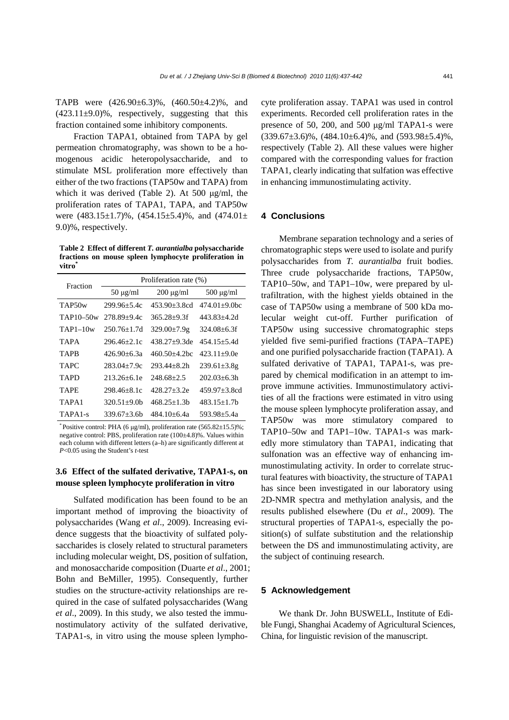TAPB were (426.90±6.3)%, (460.50±4.2)%, and  $(423.11\pm9.0)\%$ , respectively, suggesting that this fraction contained some inhibitory components.

Fraction TAPA1, obtained from TAPA by gel permeation chromatography, was shown to be a homogenous acidic heteropolysaccharide, and to stimulate MSL proliferation more effectively than either of the two fractions (TAP50w and TAPA) from which it was derived (Table 2). At 500 μg/ml, the proliferation rates of TAPA1, TAPA, and TAP50w were  $(483.15\pm1.7)\%$ ,  $(454.15\pm5.4)\%$ , and  $(474.01\pm$ 9.0)%, respectively.

**Table 2 Effect of different** *T. aurantialba* **polysaccharide fractions on mouse spleen lymphocyte proliferation in vitro\***

| Fraction            | Proliferation rate (%) |                              |                   |  |
|---------------------|------------------------|------------------------------|-------------------|--|
|                     | $50 \mu g/ml$          | $200 \mu g/ml$               | $500 \mu g/ml$    |  |
| TAP <sub>50</sub> w | $299.96 + 5.4c$        | $453.90 + 3.8cd$             | $474.01+9.0bc$    |  |
| $TAP10-50w$         | 278.89+9.4c            | $365.28 + 9.3f$              | 443.83+4.2d       |  |
| $TAP1-10w$          | 250.76+1.7d            | $329.00 \pm 7.9$ g           | $324.08 + 6.3f$   |  |
| <b>TAPA</b>         | 296.46+2.1c            | $438.27+9.3$ de              | $454.15 + 5.4d$   |  |
| <b>TAPR</b>         | 426.90+6.3а            | $460.50 + 4.2$ <sub>bc</sub> | $423.11+9.0e$     |  |
| <b>TAPC</b>         | 283.04+7.9c            | 293.44+8.2h                  | $239.61 \pm 3.8g$ |  |
| TAPD                | 213.26+6.1e            | 248.68+2.5                   | $202.03 + 6.3h$   |  |
| TAPE                | 298.46+8.1c            | 428.27+3.2e                  | $459.97 + 3.8cd$  |  |
| TAPA1               | $320.51 + 9.0h$        | 468.25+1.3b                  | $483.15 + 1.7h$   |  |
| TAPA <sub>1-s</sub> | $339.67 + 3.6b$        | 484 10+6.4a                  | 593.98+5.4a       |  |

\* Positive control: PHA (6  $\mu$ g/ml), proliferation rate (565.82 $\pm$ 15.5)%; negative control: PBS, proliferation rate (100±4.8)%. Values within each column with different letters (a–h) are significantly different at *P*<0.05 using the Student's *t*-test

# **3.6 Effect of the sulfated derivative, TAPA1-s, on mouse spleen lymphocyte proliferation in vitro**

Sulfated modification has been found to be an important method of improving the bioactivity of polysaccharides (Wang *et al*., 2009). Increasing evidence suggests that the bioactivity of sulfated polysaccharides is closely related to structural parameters including molecular weight, DS, position of sulfation, and monosaccharide composition (Duarte *et al*., 2001; Bohn and BeMiller, 1995). Consequently, further studies on the structure-activity relationships are required in the case of sulfated polysaccharides (Wang *et al*., 2009). In this study, we also tested the immunostimulatory activity of the sulfated derivative, TAPA1-s, in vitro using the mouse spleen lymphocyte proliferation assay. TAPA1 was used in control experiments. Recorded cell proliferation rates in the presence of 50, 200, and 500 μg/ml TAPA1-s were  $(339.67\pm3.6)\%$ ,  $(484.10\pm6.4)\%$ , and  $(593.98\pm5.4)\%$ , respectively (Table 2). All these values were higher compared with the corresponding values for fraction TAPA1, clearly indicating that sulfation was effective in enhancing immunostimulating activity.

# **4 Conclusions**

Membrane separation technology and a series of chromatographic steps were used to isolate and purify polysaccharides from *T. aurantialba* fruit bodies. Three crude polysaccharide fractions, TAP50w, TAP10–50w, and TAP1–10w, were prepared by ultrafiltration, with the highest yields obtained in the case of TAP50w using a membrane of 500 kDa molecular weight cut-off. Further purification of TAP50w using successive chromatographic steps yielded five semi-purified fractions (TAPA–TAPE) and one purified polysaccharide fraction (TAPA1). A sulfated derivative of TAPA1, TAPA1-s, was prepared by chemical modification in an attempt to improve immune activities. Immunostimulatory activities of all the fractions were estimated in vitro using the mouse spleen lymphocyte proliferation assay, and TAP50w was more stimulatory compared to TAP10–50w and TAP1–10w. TAPA1-s was markedly more stimulatory than TAPA1, indicating that sulfonation was an effective way of enhancing immunostimulating activity. In order to correlate structural features with bioactivity, the structure of TAPA1 has since been investigated in our laboratory using 2D-NMR spectra and methylation analysis, and the results published elsewhere (Du *et al*., 2009). The structural properties of TAPA1-s, especially the position(s) of sulfate substitution and the relationship between the DS and immunostimulating activity, are the subject of continuing research.

# **5 Acknowledgement**

We thank Dr. John BUSWELL, Institute of Edible Fungi, Shanghai Academy of Agricultural Sciences, China, for linguistic revision of the manuscript.